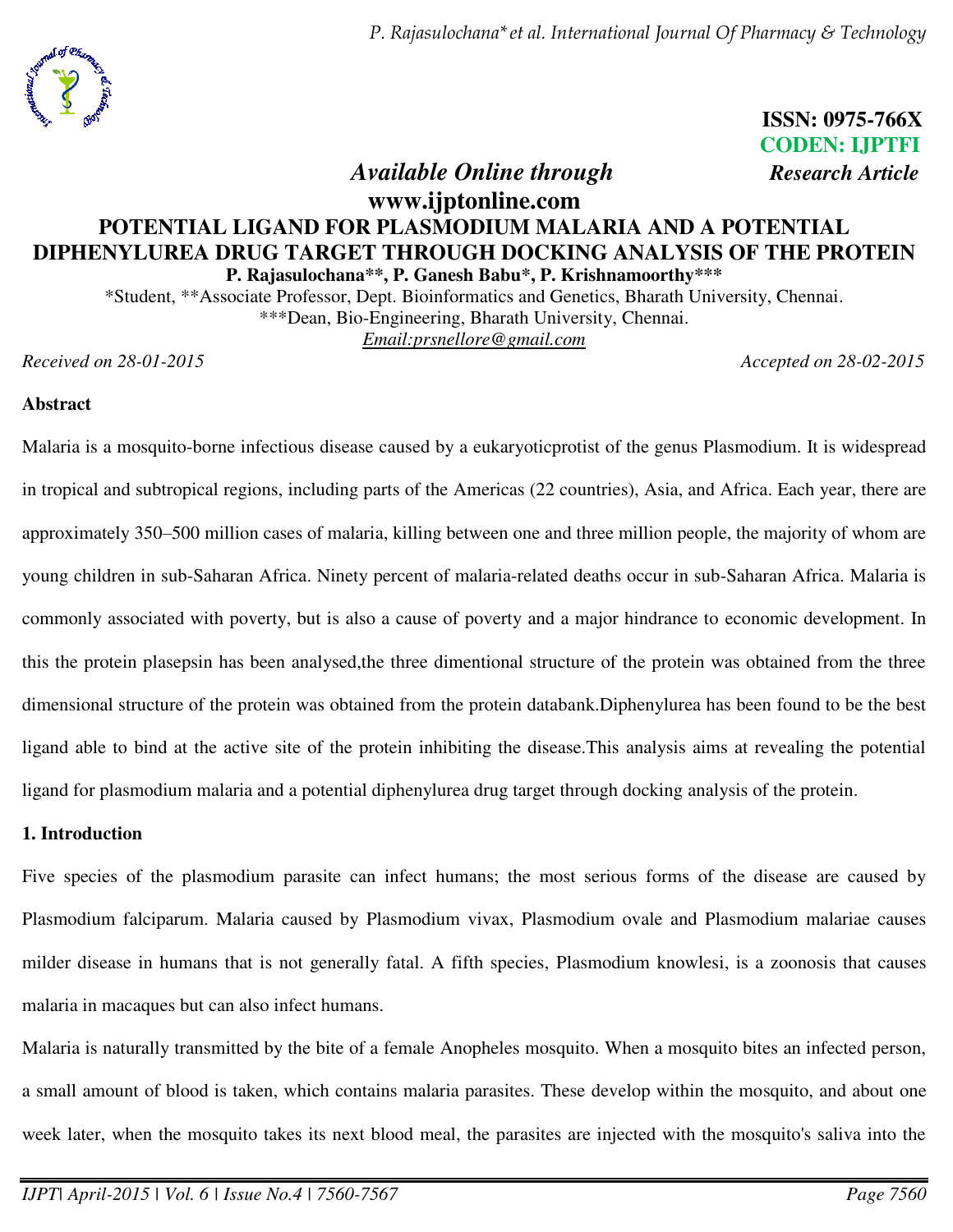

 **ISSN: 0975-766X CODEN: IJPTFI**  *Available Online through Research Article* 

## **www.ijptonline.com POTENTIAL LIGAND FOR PLASMODIUM MALARIA AND A POTENTIAL DIPHENYLUREA DRUG TARGET THROUGH DOCKING ANALYSIS OF THE PROTEIN P. Rajasulochana\*\*, P. Ganesh Babu\*, P. Krishnamoorthy\*\*\***

\*Student, \*\*Associate Professor, Dept. Bioinformatics and Genetics, Bharath University, Chennai. \*\*\*Dean, Bio-Engineering, Bharath University, Chennai. *Email:prsnellore@gmail.com* 

*Received on 28-01-2015 Accepted on 28-02-2015* 

### **Abstract**

Malaria is a [mosquito-](http://en.wikipedia.org/wiki/Mosquito)borne [infectious disease](http://en.wikipedia.org/wiki/Infectious_disease) caused by a [eukaryoticprotist](http://en.wikipedia.org/wiki/Eukaryotic) of the genus [Plasmodium.](http://en.wikipedia.org/wiki/Plasmodium) It is widespread in [tropical](http://en.wikipedia.org/wiki/Tropics) and subtropical regions, including parts of the [Americas](http://en.wikipedia.org/wiki/Americas) (22 countries), [Asia,](http://en.wikipedia.org/wiki/Asia) and [Africa.](http://en.wikipedia.org/wiki/Africa) Each year, there are approximately 350–500 million cases of malaria, killing between one and three million people, the majority of whom are young children in [sub-Saharan Africa.](http://en.wikipedia.org/wiki/Sub-Saharan_Africa) Ninety percent of malaria-related deaths occur in sub-Saharan Africa. Malaria is commonly associated with poverty, but is also a cause of poverty and a major hindrance to [economic development.](http://en.wikipedia.org/wiki/Economic_development) In this the protein plasepsin has been analysed,the three dimentional structure of the protein was obtained from the three dimensional structure of the protein was obtained from the protein databank.Diphenylurea has been found to be the best ligand able to bind at the active site of the protein inhibiting the disease.This analysis aims at revealing the potential ligand for plasmodium malaria and a potential diphenylurea drug target through docking analysis of the protein.

#### **1. Introduction**

Five species of the plasmodium parasite can infect humans; the most serious forms of the disease are caused by [Plasmodium falciparum.](http://en.wikipedia.org/wiki/Plasmodium_falciparum) Malaria caused by [Plasmodium vivax,](http://en.wikipedia.org/wiki/Plasmodium_vivax) [Plasmodium ovale](http://en.wikipedia.org/wiki/Plasmodium_ovale) and [Plasmodium malariae](http://en.wikipedia.org/wiki/Plasmodium_malariae) causes milder disease in humans that is not generally fatal. A fifth species, [Plasmodium knowlesi,](http://en.wikipedia.org/wiki/Plasmodium_knowlesi) is a [zoonosis](http://en.wikipedia.org/wiki/Zoonosis) that causes malaria in [macaques](http://en.wikipedia.org/wiki/Macaques) but can also infect humans.

Malaria is naturally transmitted by the bite of a female [Anopheles mosquito.](http://en.wikipedia.org/wiki/Anopheles) When a mosquito bites an infected person, a small amount of blood is taken, which contains malaria parasites. These develop within the mosquito, and about one week later, when the mosquito takes its next blood meal, the parasites are injected with the mosquito's saliva into the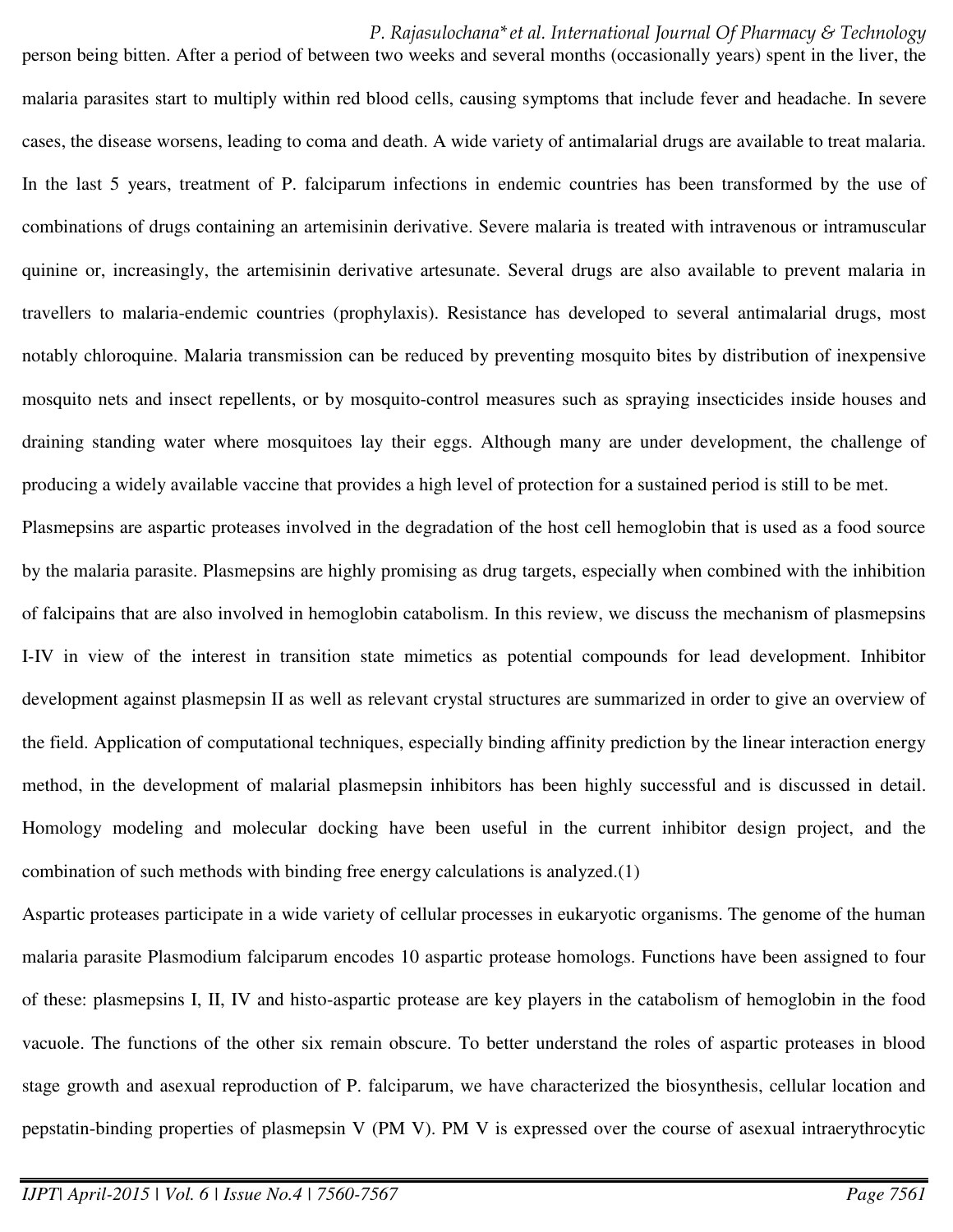person being bitten. After a period of between two weeks and several months (occasionally years) spent in the liver, the malaria parasites start to multiply within [red blood cells,](http://en.wikipedia.org/wiki/Red_blood_cell) causing symptoms that include [fever](http://en.wikipedia.org/wiki/Fever) and [headache.](http://en.wikipedia.org/wiki/Headache) In severe cases, the disease worsens, leading to [coma](http://en.wikipedia.org/wiki/Coma) and death. A wide variety of [antimalarial drugs](http://en.wikipedia.org/wiki/Antimalarial_drugs) are available to treat malaria. In the last 5 years, treatment of P. falciparum infections in [endemic](http://en.wikipedia.org/wiki/Endemism) countries has been transformed by the use of combinations of drugs containing an [artemisinin](http://en.wikipedia.org/wiki/Artemisinin) derivative. Severe malaria is treated with intravenous or intramuscular quinine or, increasingly, the [artemisinin](http://en.wikipedia.org/wiki/Artemisinin) derivative artesunate. Several drugs are also available to prevent malaria in travellers to malaria[-endemic](http://en.wikipedia.org/wiki/Endemic_%28epidemiology%29) countries [\(prophylaxis\)](http://en.wikipedia.org/wiki/Malaria_prophylaxis). Resistance has developed to several antimalarial drugs, most notably [chloroquine.](http://en.wikipedia.org/wiki/Chloroquine) Malaria transmission can be reduced by preventing mosquito bites by distribution of inexpensive [mosquito nets](http://en.wikipedia.org/wiki/Mosquito_net) and [insect repellents,](http://en.wikipedia.org/wiki/Insect_repellent) or by mosquito-control measures such as spraying [insecticides](http://en.wikipedia.org/wiki/Insecticide) inside houses and draining standing water where mosquitoes lay their eggs. Although many are under development, the challenge of producing a widely available [vaccine](http://en.wikipedia.org/wiki/Vaccine) that provides a high level of protection for a sustained period is still to be met.

Plasmepsins are aspartic proteases involved in the degradation of the host cell hemoglobin that is used as a food source by the malaria parasite. Plasmepsins are highly promising as drug targets, especially when combined with the inhibition of falcipains that are also involved in hemoglobin catabolism. In this review, we discuss the mechanism of plasmepsins I-IV in view of the interest in transition state mimetics as potential compounds for lead development. Inhibitor development against plasmepsin II as well as relevant crystal structures are summarized in order to give an overview of the field. Application of computational techniques, especially binding affinity prediction by the linear interaction energy method, in the development of malarial plasmepsin inhibitors has been highly successful and is discussed in detail. Homology modeling and molecular docking have been useful in the current inhibitor design project, and the combination of such methods with binding free energy calculations is analyzed.(1)

Aspartic proteases participate in a wide variety of cellular processes in eukaryotic organisms. The genome of the human malaria parasite Plasmodium falciparum encodes 10 aspartic protease homologs. Functions have been assigned to four of these: plasmepsins I, II, IV and histo-aspartic protease are key players in the catabolism of hemoglobin in the food vacuole. The functions of the other six remain obscure. To better understand the roles of aspartic proteases in blood stage growth and asexual reproduction of P. falciparum, we have characterized the biosynthesis, cellular location and pepstatin-binding properties of plasmepsin V (PM V). PM V is expressed over the course of asexual intraerythrocytic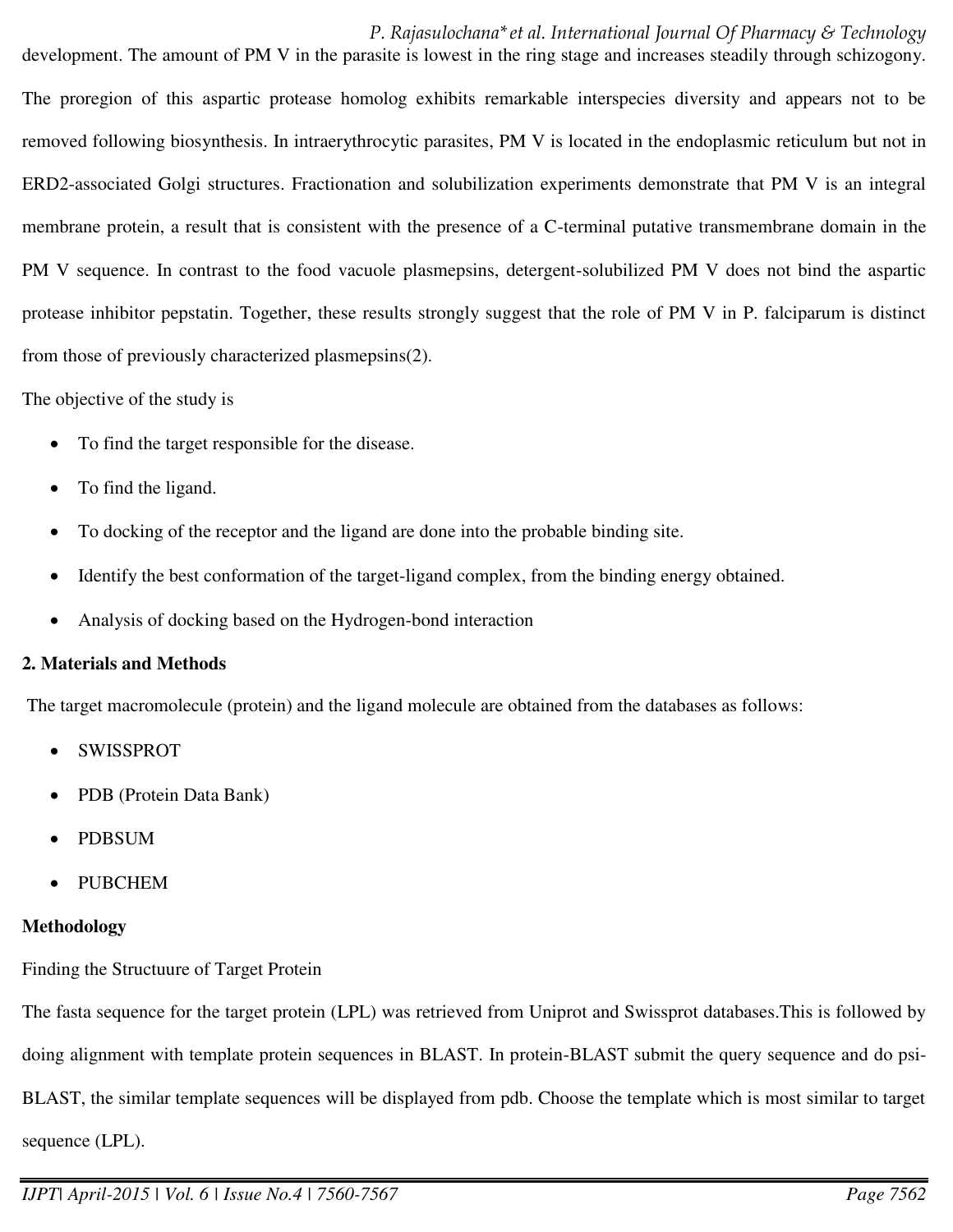development. The amount of PM V in the parasite is lowest in the ring stage and increases steadily through schizogony. The proregion of this aspartic protease homolog exhibits remarkable interspecies diversity and appears not to be removed following biosynthesis. In intraerythrocytic parasites, PM V is located in the endoplasmic reticulum but not in ERD2-associated Golgi structures. Fractionation and solubilization experiments demonstrate that PM V is an integral membrane protein, a result that is consistent with the presence of a C-terminal putative transmembrane domain in the PM V sequence. In contrast to the food vacuole plasmepsins, detergent-solubilized PM V does not bind the aspartic protease inhibitor pepstatin. Together, these results strongly suggest that the role of PM V in P. falciparum is distinct from those of previously characterized plasmepsins(2).

#### The objective of the study is

- To find the target responsible for the disease.
- To find the ligand.
- To docking of the receptor and the ligand are done into the probable binding site.
- Identify the best conformation of the target-ligand complex, from the binding energy obtained.
- Analysis of docking based on the Hydrogen-bond interaction

#### **2. Materials and Methods**

The target macromolecule (protein) and the ligand molecule are obtained from the databases as follows:

- SWISSPROT
- PDB (Protein Data Bank)
- PDBSUM
- PUBCHEM

#### **Methodology**

Finding the Structuure of Target Protein

The fasta sequence for the target protein (LPL) was retrieved from Uniprot and Swissprot databases.This is followed by doing alignment with template protein sequences in BLAST. In protein-BLAST submit the query sequence and do psi-BLAST, the similar template sequences will be displayed from pdb. Choose the template which is most similar to target sequence (LPL).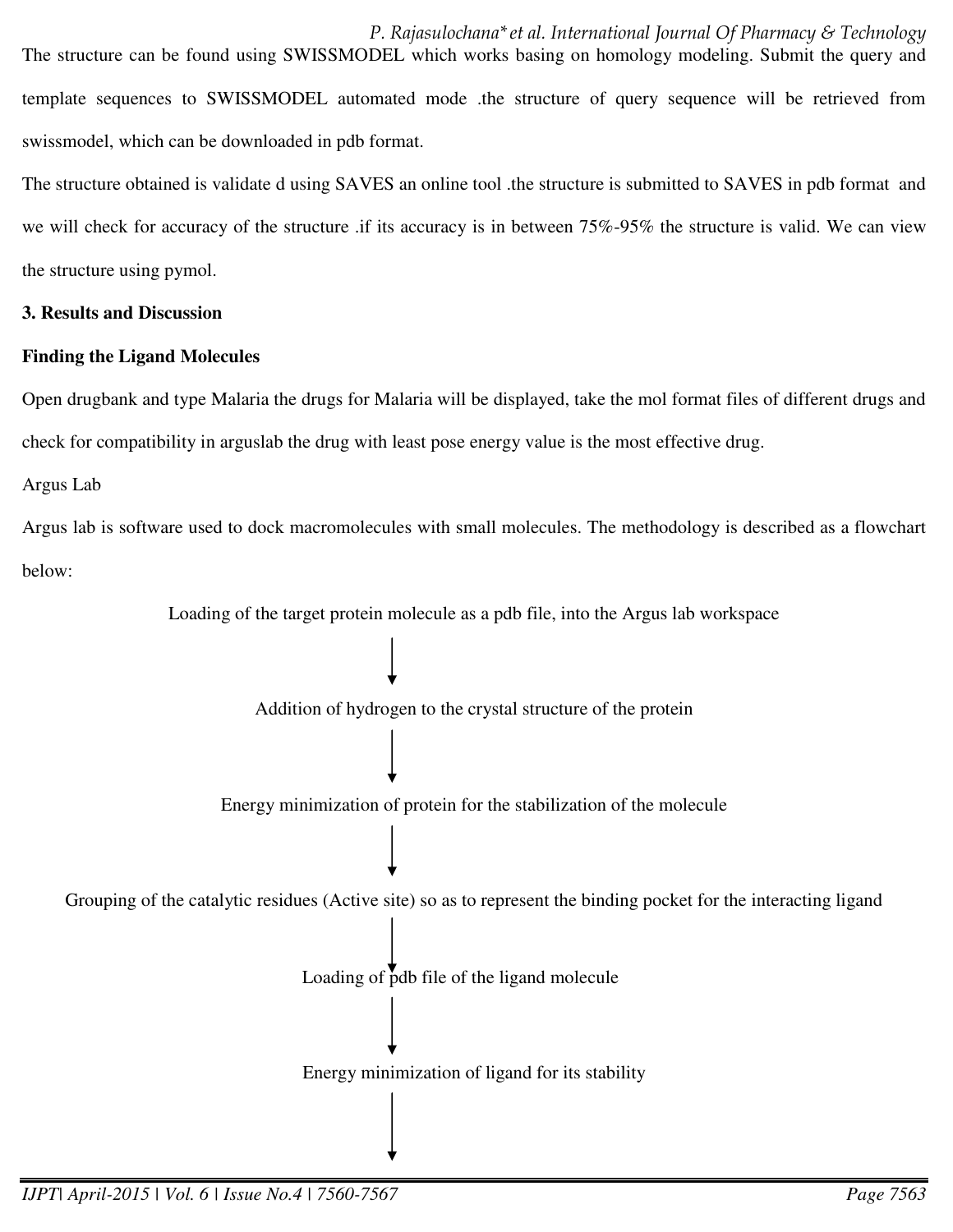*P. Rajasulochana\*et al. International Journal Of Pharmacy & Technology*  The structure can be found using SWISSMODEL which works basing on homology modeling. Submit the query and template sequences to SWISSMODEL automated mode .the structure of query sequence will be retrieved from swissmodel, which can be downloaded in pdb format.

The structure obtained is validate d using SAVES an online tool .the structure is submitted to SAVES in pdb format and we will check for accuracy of the structure .if its accuracy is in between 75%-95% the structure is valid. We can view the structure using pymol.

#### **3. Results and Discussion**

## **Finding the Ligand Molecules**

Open drugbank and type Malaria the drugs for Malaria will be displayed, take the mol format files of different drugs and check for compatibility in arguslab the drug with least pose energy value is the most effective drug.

Argus Lab

Argus lab is software used to dock macromolecules with small molecules. The methodology is described as a flowchart below:

Loading of the target protein molecule as a pdb file, into the Argus lab workspace

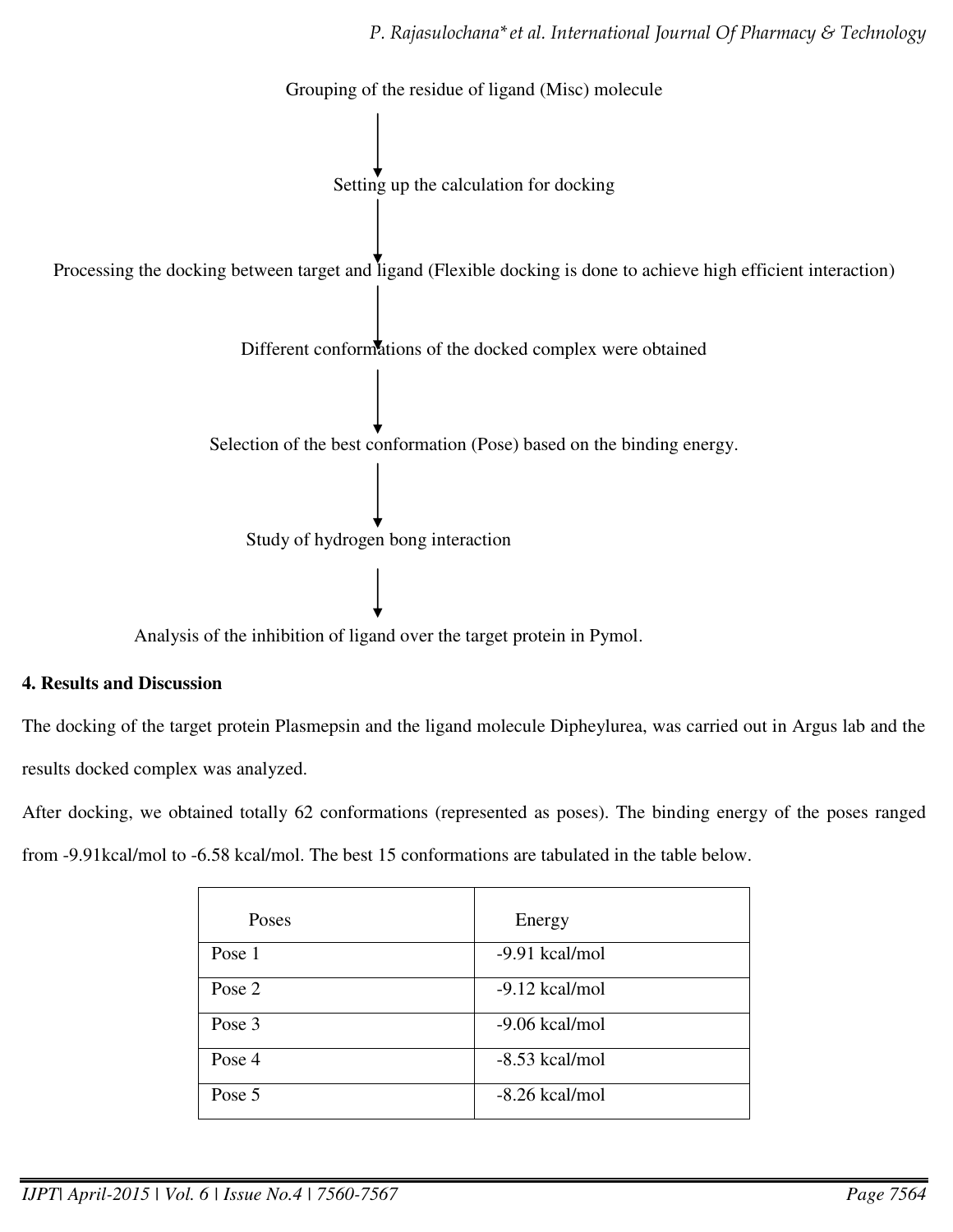

Analysis of the inhibition of ligand over the target protein in Pymol.

#### **4. Results and Discussion**

The docking of the target protein Plasmepsin and the ligand molecule Dipheylurea, was carried out in Argus lab and the results docked complex was analyzed.

After docking, we obtained totally 62 conformations (represented as poses). The binding energy of the poses ranged from -9.91kcal/mol to -6.58 kcal/mol. The best 15 conformations are tabulated in the table below.

| Poses  | Energy           |
|--------|------------------|
| Pose 1 | -9.91 kcal/mol   |
| Pose 2 | $-9.12$ kcal/mol |
| Pose 3 | $-9.06$ kcal/mol |
| Pose 4 | $-8.53$ kcal/mol |
| Pose 5 | $-8.26$ kcal/mol |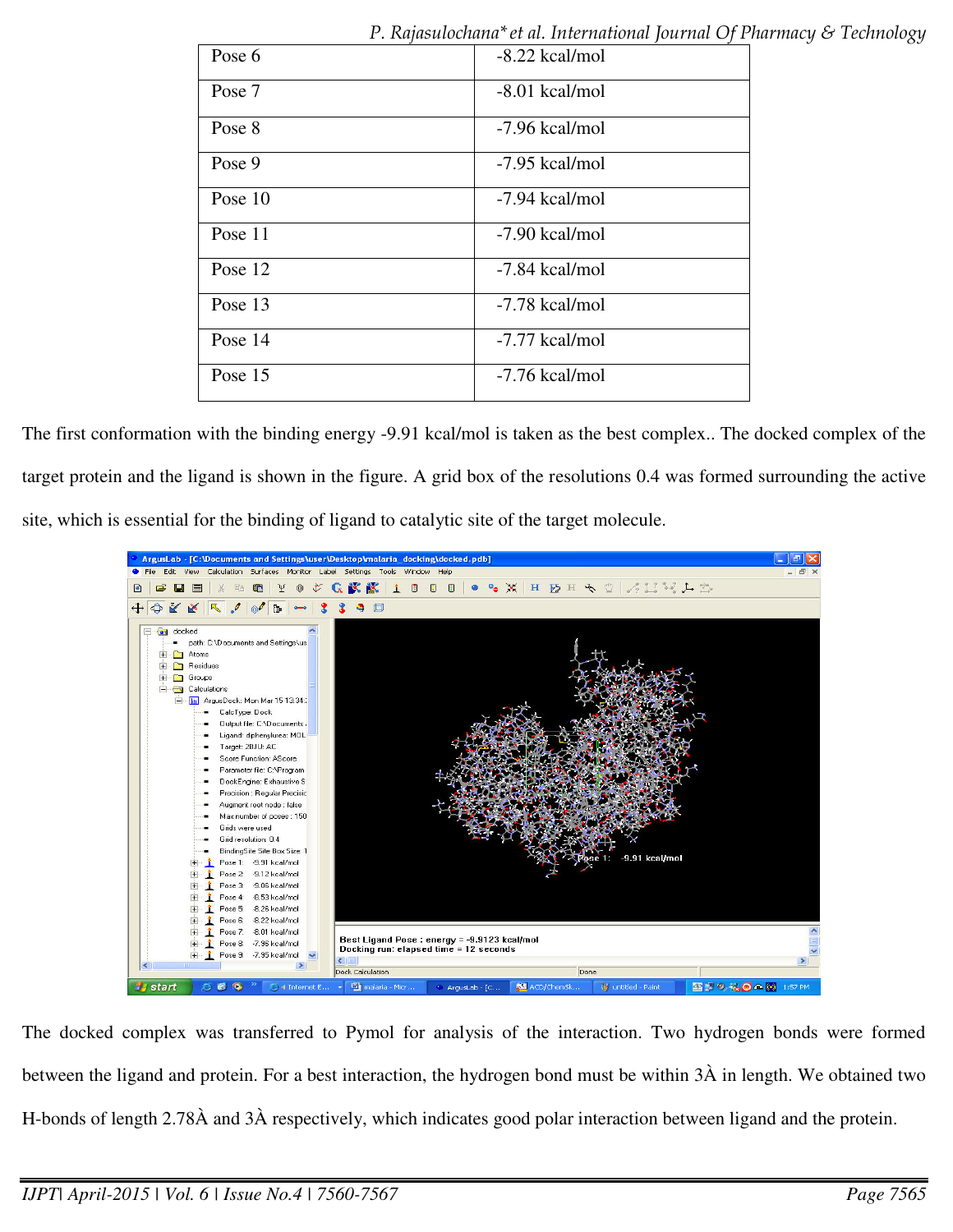| $\iota$ , isapondenama et al. mierrandial journal $\cup$ for |  |
|--------------------------------------------------------------|--|
| $-8.22$ kcal/mol                                             |  |
| $-8.01$ kcal/mol                                             |  |
| -7.96 kcal/mol                                               |  |
| -7.95 kcal/mol                                               |  |
| -7.94 kcal/mol                                               |  |
| $-7.90$ kcal/mol                                             |  |
| -7.84 kcal/mol                                               |  |
| -7.78 kcal/mol                                               |  |
| -7.77 kcal/mol                                               |  |
| -7.76 kcal/mol                                               |  |
|                                                              |  |

The first conformation with the binding energy -9.91 kcal/mol is taken as the best complex.. The docked complex of the target protein and the ligand is shown in the figure. A grid box of the resolutions 0.4 was formed surrounding the active site, which is essential for the binding of ligand to catalytic site of the target molecule.



The docked complex was transferred to Pymol for analysis of the interaction. Two hydrogen bonds were formed between the ligand and protein. For a best interaction, the hydrogen bond must be within 3À in length. We obtained two H-bonds of length 2.78À and 3À respectively, which indicates good polar interaction between ligand and the protein.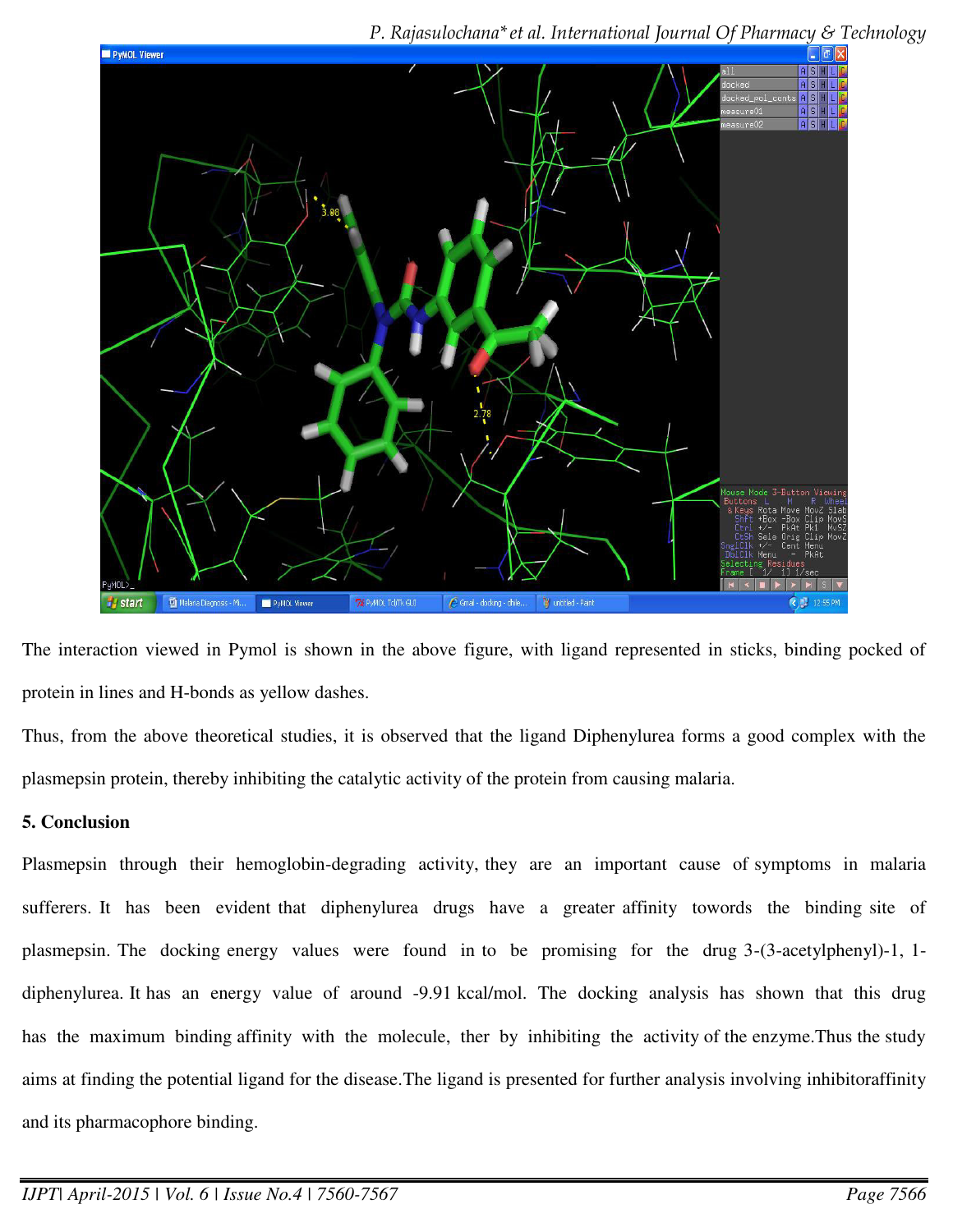

The interaction viewed in Pymol is shown in the above figure, with ligand represented in sticks, binding pocked of protein in lines and H-bonds as yellow dashes.

Thus, from the above theoretical studies, it is observed that the ligand Diphenylurea forms a good complex with the plasmepsin protein, thereby inhibiting the catalytic activity of the protein from causing malaria.

# **5. Conclusion**

Plasmepsin through their hemoglobin-degrading activity, they are an important cause of symptoms in malaria sufferers. It has been evident that diphenylurea drugs have a greater affinity towords the binding site of plasmepsin. The docking energy values were found in to be promising for the drug 3-(3-acetylphenyl)-1, 1 diphenylurea. It has an energy value of around -9.91 kcal/mol. The docking analysis has shown that this drug has the maximum binding affinity with the molecule, ther by inhibiting the activity of the enzyme.Thus the study aims at finding the potential ligand for the disease.The ligand is presented for further analysis involving inhibitoraffinity and its pharmacophore binding.